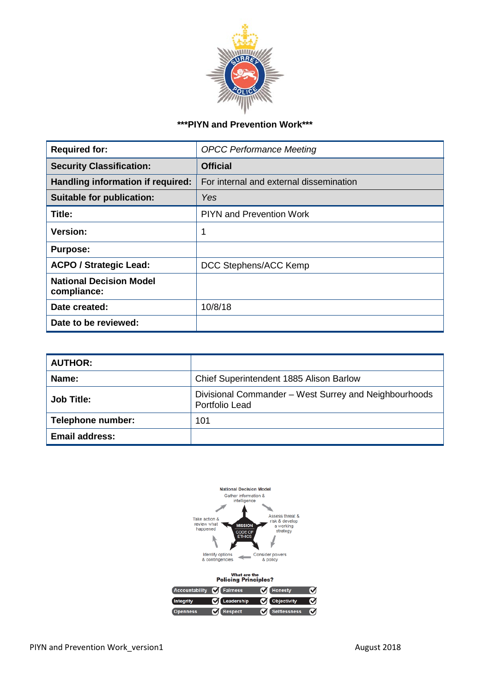

# **\*\*\*PIYN and Prevention Work\*\*\***

| <b>Required for:</b>                          | <b>OPCC Performance Meeting</b>         |
|-----------------------------------------------|-----------------------------------------|
| <b>Security Classification:</b>               | <b>Official</b>                         |
| Handling information if required:             | For internal and external dissemination |
| <b>Suitable for publication:</b>              | Yes                                     |
| Title:                                        | <b>PIYN and Prevention Work</b>         |
| <b>Version:</b>                               | 1                                       |
| <b>Purpose:</b>                               |                                         |
| <b>ACPO / Strategic Lead:</b>                 | DCC Stephens/ACC Kemp                   |
| <b>National Decision Model</b><br>compliance: |                                         |
| Date created:                                 | 10/8/18                                 |
| Date to be reviewed:                          |                                         |

| <b>AUTHOR:</b>           |                                                                         |
|--------------------------|-------------------------------------------------------------------------|
| Name:                    | Chief Superintendent 1885 Alison Barlow                                 |
| <b>Job Title:</b>        | Divisional Commander – West Surrey and Neighbourhoods<br>Portfolio Lead |
| <b>Telephone number:</b> | 101                                                                     |
| <b>Email address:</b>    |                                                                         |

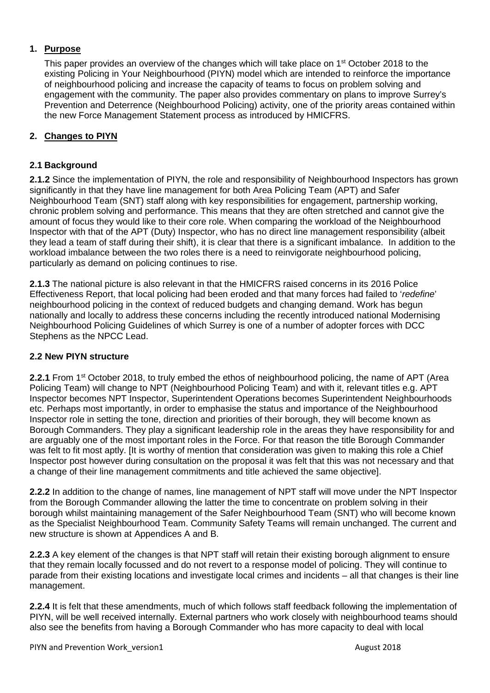## **1. Purpose**

This paper provides an overview of the changes which will take place on 1<sup>st</sup> October 2018 to the existing Policing in Your Neighbourhood (PIYN) model which are intended to reinforce the importance of neighbourhood policing and increase the capacity of teams to focus on problem solving and engagement with the community. The paper also provides commentary on plans to improve Surrey's Prevention and Deterrence (Neighbourhood Policing) activity, one of the priority areas contained within the new Force Management Statement process as introduced by HMICFRS.

## **2. Changes to PIYN**

#### **2.1 Background**

**2.1.2** Since the implementation of PIYN, the role and responsibility of Neighbourhood Inspectors has grown significantly in that they have line management for both Area Policing Team (APT) and Safer Neighbourhood Team (SNT) staff along with key responsibilities for engagement, partnership working, chronic problem solving and performance. This means that they are often stretched and cannot give the amount of focus they would like to their core role. When comparing the workload of the Neighbourhood Inspector with that of the APT (Duty) Inspector, who has no direct line management responsibility (albeit they lead a team of staff during their shift), it is clear that there is a significant imbalance. In addition to the workload imbalance between the two roles there is a need to reinvigorate neighbourhood policing, particularly as demand on policing continues to rise.

**2.1.3** The national picture is also relevant in that the HMICFRS raised concerns in its 2016 Police Effectiveness Report, that local policing had been eroded and that many forces had failed to '*redefine*' neighbourhood policing in the context of reduced budgets and changing demand. Work has begun nationally and locally to address these concerns including the recently introduced national Modernising Neighbourhood Policing Guidelines of which Surrey is one of a number of adopter forces with DCC Stephens as the NPCC Lead.

#### **2.2 New PIYN structure**

**2.2.1** From 1<sup>st</sup> October 2018, to truly embed the ethos of neighbourhood policing, the name of APT (Area Policing Team) will change to NPT (Neighbourhood Policing Team) and with it, relevant titles e.g. APT Inspector becomes NPT Inspector, Superintendent Operations becomes Superintendent Neighbourhoods etc. Perhaps most importantly, in order to emphasise the status and importance of the Neighbourhood Inspector role in setting the tone, direction and priorities of their borough, they will become known as Borough Commanders. They play a significant leadership role in the areas they have responsibility for and are arguably one of the most important roles in the Force. For that reason the title Borough Commander was felt to fit most aptly. [It is worthy of mention that consideration was given to making this role a Chief Inspector post however during consultation on the proposal it was felt that this was not necessary and that a change of their line management commitments and title achieved the same objective].

**2.2.2** In addition to the change of names, line management of NPT staff will move under the NPT Inspector from the Borough Commander allowing the latter the time to concentrate on problem solving in their borough whilst maintaining management of the Safer Neighbourhood Team (SNT) who will become known as the Specialist Neighbourhood Team. Community Safety Teams will remain unchanged. The current and new structure is shown at Appendices A and B.

**2.2.3** A key element of the changes is that NPT staff will retain their existing borough alignment to ensure that they remain locally focussed and do not revert to a response model of policing. They will continue to parade from their existing locations and investigate local crimes and incidents – all that changes is their line management.

**2.2.4** It is felt that these amendments, much of which follows staff feedback following the implementation of PIYN, will be well received internally. External partners who work closely with neighbourhood teams should also see the benefits from having a Borough Commander who has more capacity to deal with local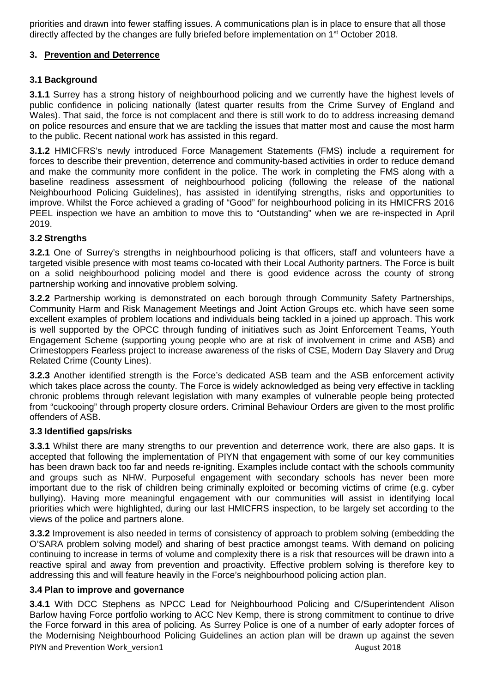priorities and drawn into fewer staffing issues. A communications plan is in place to ensure that all those directly affected by the changes are fully briefed before implementation on  $1<sup>st</sup>$  October 2018.

## **3. Prevention and Deterrence**

## **3.1 Background**

**3.1.1** Surrey has a strong history of neighbourhood policing and we currently have the highest levels of public confidence in policing nationally (latest quarter results from the Crime Survey of England and Wales). That said, the force is not complacent and there is still work to do to address increasing demand on police resources and ensure that we are tackling the issues that matter most and cause the most harm to the public. Recent national work has assisted in this regard.

**3.1.2** HMICFRS's newly introduced Force Management Statements (FMS) include a requirement for forces to describe their prevention, deterrence and community-based activities in order to reduce demand and make the community more confident in the police. The work in completing the FMS along with a baseline readiness assessment of neighbourhood policing (following the release of the national Neighbourhood Policing Guidelines), has assisted in identifying strengths, risks and opportunities to improve. Whilst the Force achieved a grading of "Good" for neighbourhood policing in its HMICFRS 2016 PEEL inspection we have an ambition to move this to "Outstanding" when we are re-inspected in April 2019.

## **3.2 Strengths**

**3.2.1** One of Surrey's strengths in neighbourhood policing is that officers, staff and volunteers have a targeted visible presence with most teams co-located with their Local Authority partners. The Force is built on a solid neighbourhood policing model and there is good evidence across the county of strong partnership working and innovative problem solving.

**3.2.2** Partnership working is demonstrated on each borough through Community Safety Partnerships, Community Harm and Risk Management Meetings and Joint Action Groups etc. which have seen some excellent examples of problem locations and individuals being tackled in a joined up approach. This work is well supported by the OPCC through funding of initiatives such as Joint Enforcement Teams, Youth Engagement Scheme (supporting young people who are at risk of involvement in crime and ASB) and Crimestoppers Fearless project to increase awareness of the risks of CSE, Modern Day Slavery and Drug Related Crime (County Lines).

**3.2.3** Another identified strength is the Force's dedicated ASB team and the ASB enforcement activity which takes place across the county. The Force is widely acknowledged as being very effective in tackling chronic problems through relevant legislation with many examples of vulnerable people being protected from "cuckooing" through property closure orders. Criminal Behaviour Orders are given to the most prolific offenders of ASB.

#### **3.3 Identified gaps/risks**

**3.3.1** Whilst there are many strengths to our prevention and deterrence work, there are also gaps. It is accepted that following the implementation of PIYN that engagement with some of our key communities has been drawn back too far and needs re-igniting. Examples include contact with the schools community and groups such as NHW. Purposeful engagement with secondary schools has never been more important due to the risk of children being criminally exploited or becoming victims of crime (e.g. cyber bullying). Having more meaningful engagement with our communities will assist in identifying local priorities which were highlighted, during our last HMICFRS inspection, to be largely set according to the views of the police and partners alone.

**3.3.2** Improvement is also needed in terms of consistency of approach to problem solving (embedding the O'SARA problem solving model) and sharing of best practice amongst teams. With demand on policing continuing to increase in terms of volume and complexity there is a risk that resources will be drawn into a reactive spiral and away from prevention and proactivity. Effective problem solving is therefore key to addressing this and will feature heavily in the Force's neighbourhood policing action plan.

#### **3.4 Plan to improve and governance**

PIYN and Prevention Work\_version1 and Prevention Work and Prevention Work and Prevention August 2018 **3.4.1** With DCC Stephens as NPCC Lead for Neighbourhood Policing and C/Superintendent Alison Barlow having Force portfolio working to ACC Nev Kemp, there is strong commitment to continue to drive the Force forward in this area of policing. As Surrey Police is one of a number of early adopter forces of the Modernising Neighbourhood Policing Guidelines an action plan will be drawn up against the seven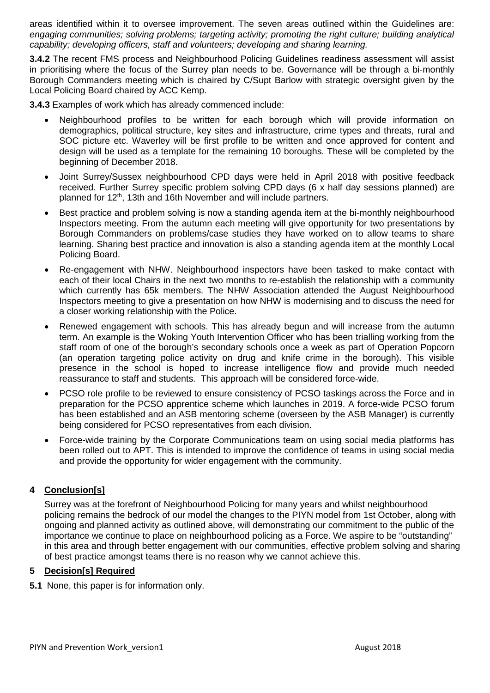areas identified within it to oversee improvement. The seven areas outlined within the Guidelines are: *engaging communities; solving problems; targeting activity; promoting the right culture; building analytical capability; developing officers, staff and volunteers; developing and sharing learning.*

**3.4.2** The recent FMS process and Neighbourhood Policing Guidelines readiness assessment will assist in prioritising where the focus of the Surrey plan needs to be. Governance will be through a bi-monthly Borough Commanders meeting which is chaired by C/Supt Barlow with strategic oversight given by the Local Policing Board chaired by ACC Kemp.

**3.4.3** Examples of work which has already commenced include:

- Neighbourhood profiles to be written for each borough which will provide information on demographics, political structure, key sites and infrastructure, crime types and threats, rural and SOC picture etc. Waverley will be first profile to be written and once approved for content and design will be used as a template for the remaining 10 boroughs. These will be completed by the beginning of December 2018.
- Joint Surrey/Sussex neighbourhood CPD days were held in April 2018 with positive feedback received. Further Surrey specific problem solving CPD days (6 x half day sessions planned) are planned for 12<sup>th</sup>, 13th and 16th November and will include partners.
- Best practice and problem solving is now a standing agenda item at the bi-monthly neighbourhood Inspectors meeting. From the autumn each meeting will give opportunity for two presentations by Borough Commanders on problems/case studies they have worked on to allow teams to share learning. Sharing best practice and innovation is also a standing agenda item at the monthly Local Policing Board.
- Re-engagement with NHW. Neighbourhood inspectors have been tasked to make contact with each of their local Chairs in the next two months to re-establish the relationship with a community which currently has 65k members. The NHW Association attended the August Neighbourhood Inspectors meeting to give a presentation on how NHW is modernising and to discuss the need for a closer working relationship with the Police.
- Renewed engagement with schools. This has already begun and will increase from the autumn term. An example is the Woking Youth Intervention Officer who has been trialling working from the staff room of one of the borough's secondary schools once a week as part of Operation Popcorn (an operation targeting police activity on drug and knife crime in the borough). This visible presence in the school is hoped to increase intelligence flow and provide much needed reassurance to staff and students. This approach will be considered force-wide.
- PCSO role profile to be reviewed to ensure consistency of PCSO taskings across the Force and in preparation for the PCSO apprentice scheme which launches in 2019. A force-wide PCSO forum has been established and an ASB mentoring scheme (overseen by the ASB Manager) is currently being considered for PCSO representatives from each division.
- Force-wide training by the Corporate Communications team on using social media platforms has been rolled out to APT. This is intended to improve the confidence of teams in using social media and provide the opportunity for wider engagement with the community.

## **4 Conclusion[s]**

Surrey was at the forefront of Neighbourhood Policing for many years and whilst neighbourhood policing remains the bedrock of our model the changes to the PIYN model from 1st October, along with ongoing and planned activity as outlined above, will demonstrating our commitment to the public of the importance we continue to place on neighbourhood policing as a Force. We aspire to be "outstanding" in this area and through better engagement with our communities, effective problem solving and sharing of best practice amongst teams there is no reason why we cannot achieve this.

#### **5 Decision[s] Required**

**5.1** None, this paper is for information only.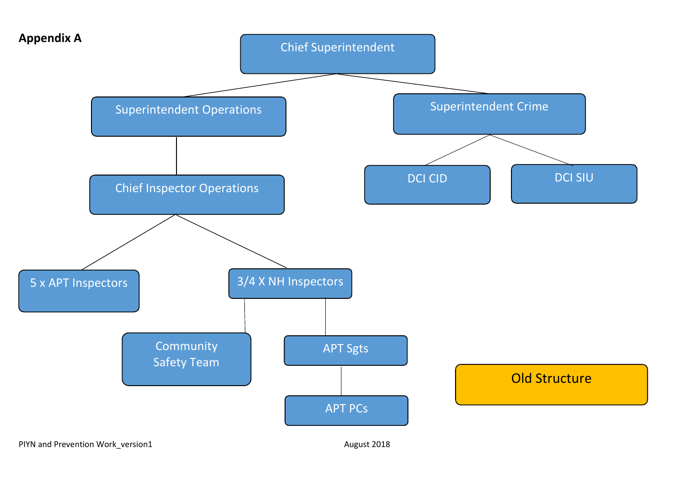